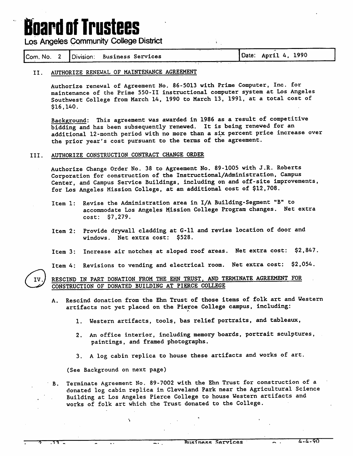## **Board of Trustees**

Los Angeles Community College District

|  |  |  | Com. No. 2   Division: Business Services |  | Date: April 4, 1990 |  |
|--|--|--|------------------------------------------|--|---------------------|--|
|--|--|--|------------------------------------------|--|---------------------|--|

### II. AUTHORIZE RENEWAL OF MAINTENANCE AGREEMENT

Authorize renewal of Agreement No. 86-5013 with Prime Computer, Inc. for maintenance of the Prime 550-11 instructional computer system at Los Angeles Southwest College from March 14, 1990 to March 13, 1991, at a total cost of \$16,140.

 $\mathbf{V}(\cdot)$ 

Background: This agreement was awarded in 1986 as a result of competitive bidding and has been subsequently renewed. It is being renewed for an additional 12-month period with no more than a six percent price increase over the prior year's cost pursuant to the terms of the agreement.

### III. AUTHORIZE CONSTRUCTION CONTRACT CHANGE ORDER

Authorize Change Order No. 38 to Agreement No. 89-1005 with J.R. Roberts Corporation for construction of the Instructional/Administration, Campus Center, and Campus Service Buildings, including on and off-site improvements, for Los Angeles Mission College, at an additional cost of \$12,708.

- Item 1: Revise the Administration area in I/A Building-Segment "B" to accommodate Los Angeles Mission College Program changes. Net extra  $cost:$   $$7,279.$
- Item 2: Provide drywall cladding at G-11 and revise location of door and windows. Net extra cost: \$528.
- Item 3: Increase air notches at sloped roof areas. Net extra cost: \$2,847.

Item 4: Revisions to vending and electrical room. Net extra cost: \$2,054.

RESCIND IN PART DONATION FROM THE EHN TRUST, AND TERMINATE AGREEMENT FOR CONSTRUCTION OF DONATED BUILDING AT PIERCE COLLEGE

- A. Rescind donation from the Ehn Trust of those items of folk art and Western artifacts not yet placed on the Pierce College campus, including:
	- 1. Western artifacts, tools, bas relief portraits, and tableaux,
	- 2. An office interior, including memory boards, portrait sculptures, paintings, and framed photographs.
	- 3. A log cabin replica to house these artifacts and works of art.

(See Background on next page)

 $\ddot{\phantom{a}}$ 

۰,

 $\overline{\phantom{a}}$ .

B. Terminate Agreement No. 89-7002 with the Ehn Trust for construction of a donated log cabin replica in Cleveland Park near the Agricultural Science Building at Los Angeles Pierce College to house Western artifacts and works of folk art which the Trust donated to the College.